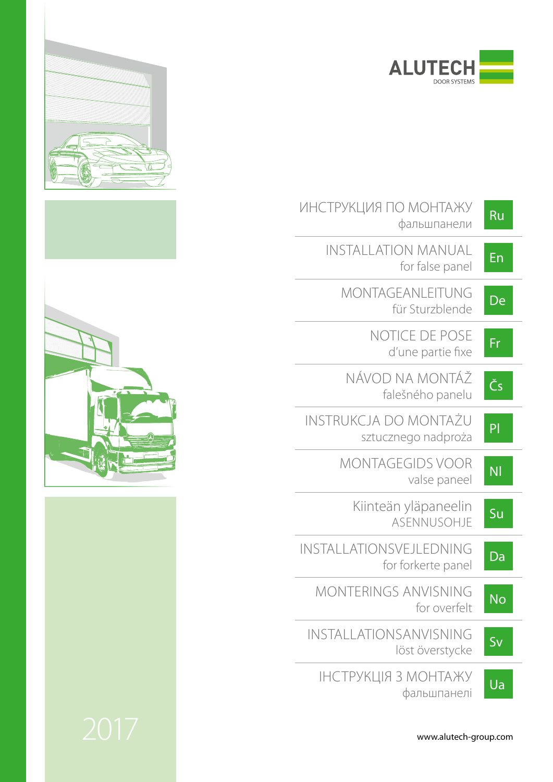

| ИНСТРУКЦИЯ ПО МОНТАЖУ<br>фальшпанели          | Ru                     |
|-----------------------------------------------|------------------------|
| INSTALLATION MANUAL<br>for false panel        | En                     |
| MONTAGEANLEITUNG<br>für Sturzblende           | De                     |
| NOTICE DE POSE<br>d'une partie fixe           | Fr                     |
| NÁVOD NA MONTÁŽ<br>falešného panelu           | Čs                     |
| INSTRUKCJA DO MONTAŽU<br>sztucznego nadproża  | P                      |
| <b>MONTAGEGIDS VOOR</b><br>valse paneel       | <b>NI</b>              |
| Kiinteän yläpaneelin<br>ASENNUSOHJE           | Su                     |
| INSTALLATIONSVEJLEDNING<br>for forkerte panel | Da                     |
| <b>MONTERINGS ANVISNING</b><br>for overfelt   | $\overline{\text{No}}$ |
| INSTALLATIONSANVISNING<br>löst överstycke     | Sv                     |
| ІНСТРУКЦІЯ З МОНТАЖУ<br>фальшпанелі           | Ua                     |









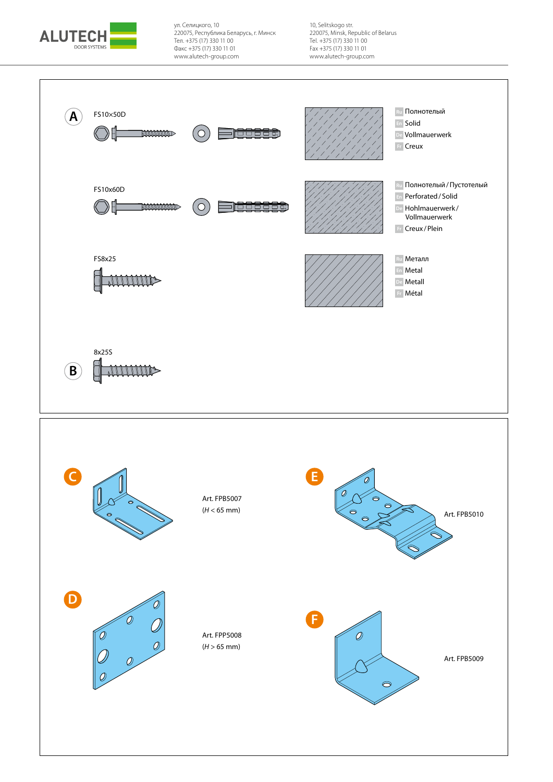

ул. Селицкого, 10 220075, Республика Беларусь, г. Минск Тел. +375 (17) 330 11 00 Факс +375 (17) 330 11 01 www.alutech-group.com

10, Selitskogo str. 220075, Minsk, Republic of Belarus Tel. +375 (17) 330 11 00 Fax +375 (17) 330 11 01 www.alutech-group.com

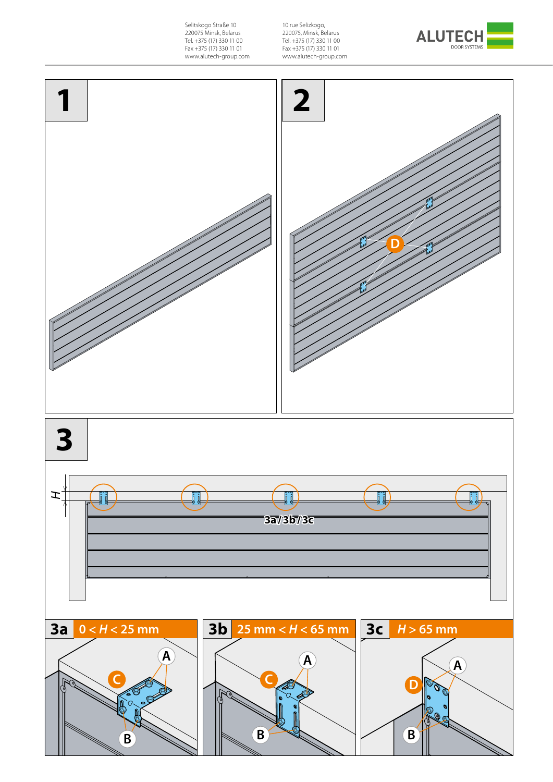Selitskogo Straße 10 220075 Minsk, Belarus Tel. +375 (17) 330 11 00 Fax +375 (17) 330 11 01 www.alutech-group.com

10 rue Selizkogo, 220075, Minsk, Belarus Tel. +375 (17) 330 11 00 Fax +375 (17) 330 11 01 www.alutech-group.com